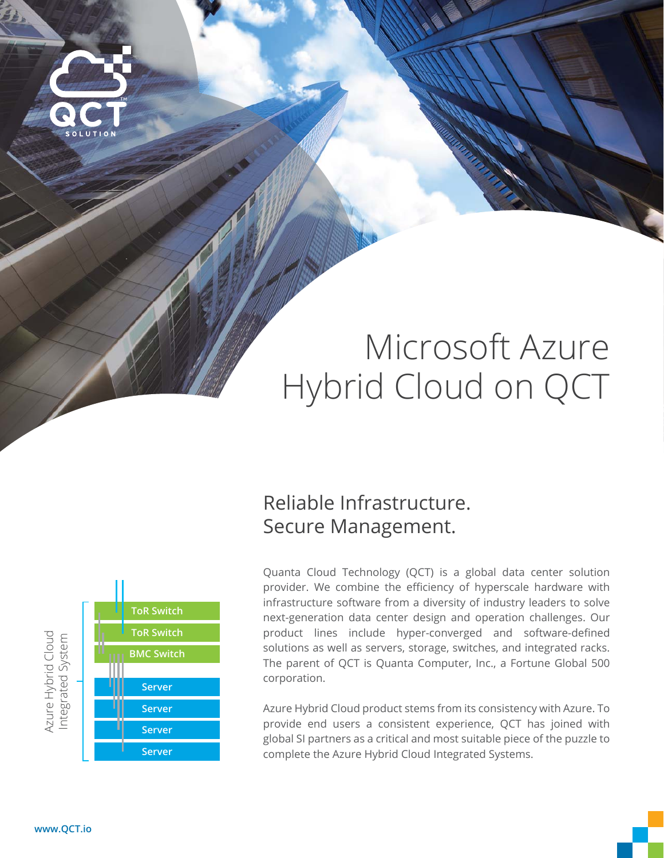

# Microsoft Azure Hybrid Cloud on QCT

# Reliable Infrastructure. Secure Management.

Quanta Cloud Technology (QCT) is a global data center solution provider. We combine the efficiency of hyperscale hardware with infrastructure software from a diversity of industry leaders to solve next-generation data center design and operation challenges. Our product lines include hyper-converged and software-defined solutions as well as servers, storage, switches, and integrated racks. The parent of QCT is Quanta Computer, Inc., a Fortune Global 500 corporation.

Azure Hybrid Cloud product stems from its consistency with Azure. To provide end users a consistent experience, QCT has joined with global SI partners as a critical and most suitable piece of the puzzle to complete the Azure Hybrid Cloud Integrated Systems.

Azure Hybrid Cloud<br>Integrated System Azure Hybrid Cloud Integrated System